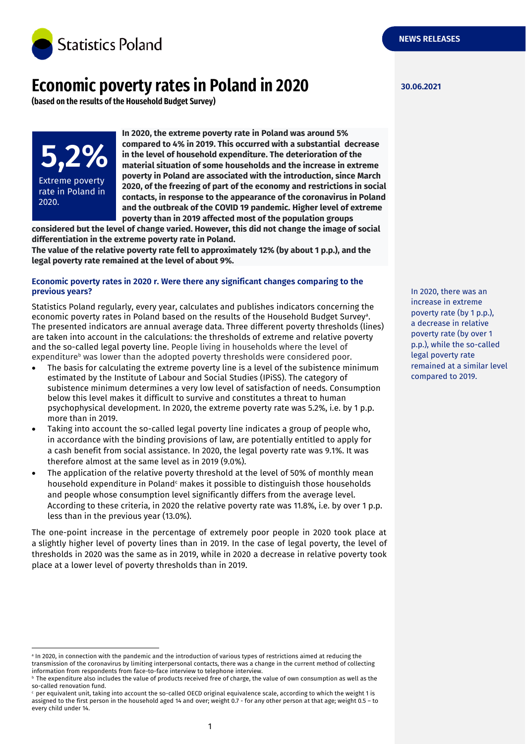

# **Economic poverty rates in Poland in 2020**

**(based on the results of the Household Budget Survey)**

**5,2%** Extreme poverty rate in Poland in 2020.

**In 2020, the extreme poverty rate in Poland was around 5% compared to 4% in 2019. This occurred with a substantial decrease in the level of household expenditure. The deterioration of the material situation of some households and the increase in extreme poverty in Poland are associated with the introduction, since March 2020, of the freezing of part of the economy and restrictions in social contacts, in response to the appearance of the coronavirus in Poland and the outbreak of the COVID 19 pandemic. Higher level of extreme poverty than in 2019 affected most of the population groups** 

**considered but the level of change varied. However, this did not change the image of social differentiation in the extreme poverty rate in Poland.**

**The value of the relative poverty rate fell to approximately 12% (by about 1 p.p.), and the legal poverty rate remained at the level of about 9%.**

## **Economic poverty rates in 2020 r. Were there any significant changes comparing to the previous years?**

Statistics Poland regularly, every year, calculates and publishes indicators concerning the economic poverty rates in Poland based on the results of the Household Budget Survey<sup>a</sup>. The presented indicators are annual average data. Three different poverty thresholds (lines) are taken into account in the calculations: the thresholds of extreme and relative poverty and the so-called legal poverty line. People living in households where the level of expenditure<sup>b</sup> was lower than the adopted poverty thresholds were considered poor.

- The basis for calculating the extreme poverty line is a level of the subistence minimum estimated by the Institute of Labour and Social Studies (IPiSS). The category of subistence minimum determines a very low level of satisfaction of needs. Consumption below this level makes it difficult to survive and constitutes a threat to human psychophysical development. In 2020, the extreme poverty rate was 5.2%, i.e. by 1 p.p. more than in 2019.
- Taking into account the so-called legal poverty line indicates a group of people who, in accordance with the binding provisions of law, are potentially entitled to apply for a cash benefit from social assistance. In 2020, the legal poverty rate was 9.1%. It was therefore almost at the same level as in 2019 (9.0%).
- The application of the relative poverty threshold at the level of 50% of monthly mean household expenditure in Poland<sup>c</sup> makes it possible to distinguish those households and people whose consumption level significantly differs from the average level. According to these criteria, in 2020 the relative poverty rate was 11.8%, i.e. by over 1 p.p. less than in the previous year (13.0%).

The one-point increase in the percentage of extremely poor people in 2020 took place at a slightly higher level of poverty lines than in 2019. In the case of legal poverty, the level of thresholds in 2020 was the same as in 2019, while in 2020 a decrease in relative poverty took place at a lower level of poverty thresholds than in 2019.

**30.06.2021**

In 2020, there was an increase in extreme poverty rate (by 1 p.p.), a decrease in relative poverty rate (by over 1 p.p.), while the so-called legal poverty rate remained at a similar level compared to 2019.

a In 2020, in connection with the pandemic and the introduction of various types of restrictions aimed at reducing the transmission of the coronavirus by limiting interpersonal contacts, there was a change in the current method of collecting information from respondents from face-to-face interview to telephone interview.

 $\,$  The expenditure also includes the value of products received free of charge, the value of own consumption as well as the so-called renovation fund.

<sup>c</sup> per equivalent unit, taking into account the so-called OECD original equivalence scale, according to which the weight 1 is assigned to the first person in the household aged 14 and over; weight 0.7 - for any other person at that age; weight 0.5 – to every child under 14.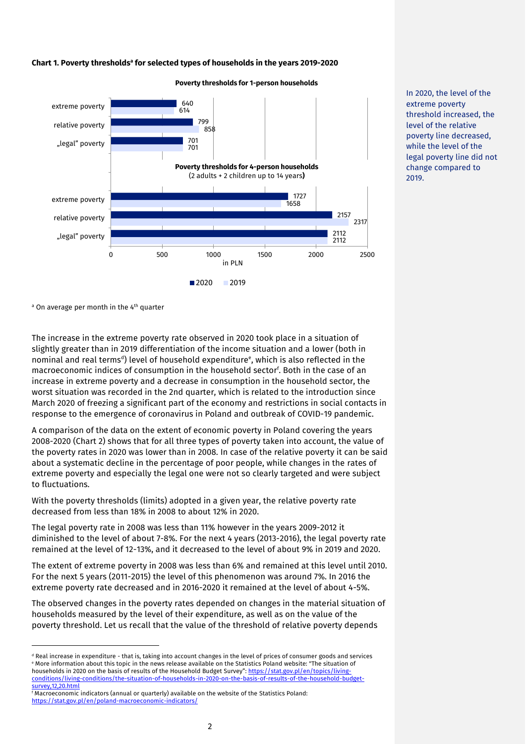#### **Chart 1. Poverty thresholds<sup>a</sup> for selected types of households in the years 2019-2020**



**Poverty thresholds for 1-person households** 

In 2020, the level of the extreme poverty threshold increased, the level of the relative poverty line decreased, while the level of the legal poverty line did not change compared to 2019.

<sup>a</sup> On average per month in the 4<sup>th</sup> quarter

-

The increase in the extreme poverty rate observed in 2020 took place in a situation of slightly greater than in 2019 differentiation of the income situation and a lower (both in nominal and real terms<sup>d</sup>) level of household expenditure<sup>e</sup>, which is also reflected in the macroeconomic indices of consumption in the household sector<sup>f</sup> . Both in the case of an increase in extreme poverty and a decrease in consumption in the household sector, the worst situation was recorded in the 2nd quarter, which is related to the introduction since March 2020 of freezing a significant part of the economy and restrictions in social contacts in response to the emergence of coronavirus in Poland and outbreak of COVID-19 pandemic.

A comparison of the data on the extent of economic poverty in Poland covering the years 2008-2020 (Chart 2) shows that for all three types of poverty taken into account, the value of the poverty rates in 2020 was lower than in 2008. In case of the relative poverty it can be said about a systematic decline in the percentage of poor people, while changes in the rates of extreme poverty and especially the legal one were not so clearly targeted and were subject to fluctuations.

With the poverty thresholds (limits) adopted in a given year, the relative poverty rate decreased from less than 18% in 2008 to about 12% in 2020.

The legal poverty rate in 2008 was less than 11% however in the years 2009-2012 it diminished to the level of about 7-8%. For the next 4 years (2013-2016), the legal poverty rate remained at the level of 12-13%, and it decreased to the level of about 9% in 2019 and 2020.

The extent of extreme poverty in 2008 was less than 6% and remained at this level until 2010. For the next 5 years (2011-2015) the level of this phenomenon was around 7%. In 2016 the extreme poverty rate decreased and in 2016-2020 it remained at the level of about 4-5%.

The observed changes in the poverty rates depended on changes in the material situation of households measured by the level of their expenditure, as well as on the value of the poverty threshold. Let us recall that the value of the threshold of relative poverty depends

<sup>d</sup> Real increase in expenditure - that is, taking into account changes in the level of prices of consumer goods and services <sup>e</sup> More information about this topic in the news release available on the Statistics Poland website: "The situation of households in 2020 on the basis of results of the Household Budget Survey": https://stat.gov.pl/en/topics/living [conditions/living-conditions/the-situation-of-households-in-2020-on-the-basis-of-results-of-the-household-budget](https://stat.gov.pl/en/topics/living-conditions/living-conditions/the-situation-of-households-in-2020-on-the-basis-of-results-of-the-household-budget-survey,12,20.html)[survey,12,20.html](https://stat.gov.pl/en/topics/living-conditions/living-conditions/the-situation-of-households-in-2020-on-the-basis-of-results-of-the-household-budget-survey,12,20.html)

<sup>f</sup> Macroeconomic indicators (annual or quarterly) available on the website of the Statistics Poland: <https://stat.gov.pl/en/poland-macroeconomic-indicators/>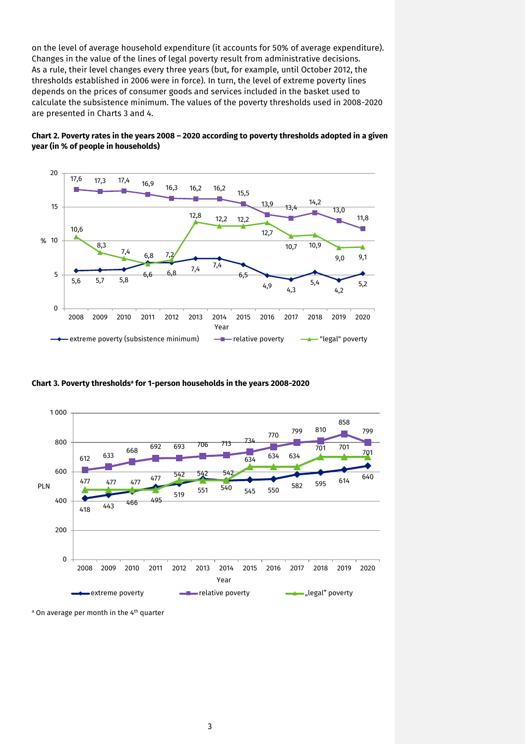on the level of average household expenditure (it accounts for 50% of average expenditure). Changes in the value of the lines of legal poverty result from administrative decisions. As a rule, their level changes every three years (but, for example, until October 2012, the thresholds established in 2006 were in force). In turn, the level of extreme poverty lines depends on the prices of consumer goods and services included in the basket used to calculate the subsistence minimum. The values of the poverty thresholds used in 2008-2020 are presented in Charts 3 and 4.





**Chart 3. Poverty thresholds<sup>a</sup> for 1-person households in the years 2008-2020**



<sup>&</sup>lt;sup>a</sup> On average per month in the 4<sup>th</sup> quarter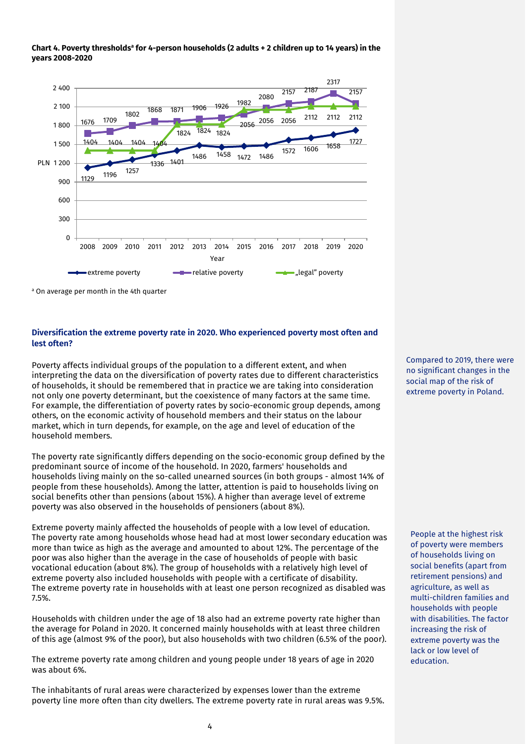



a On average per month in the 4th quarter

# **Diversification the extreme poverty rate in 2020. Who experienced poverty most often and lest often?**

Poverty affects individual groups of the population to a different extent, and when interpreting the data on the diversification of poverty rates due to different characteristics of households, it should be remembered that in practice we are taking into consideration not only one poverty determinant, but the coexistence of many factors at the same time. For example, the differentiation of poverty rates by socio-economic group depends, among others, on the economic activity of household members and their status on the labour market, which in turn depends, for example, on the age and level of education of the household members.

The poverty rate significantly differs depending on the socio-economic group defined by the predominant source of income of the household. In 2020, farmers' households and households living mainly on the so-called unearned sources (in both groups - almost 14% of people from these households). Among the latter, attention is paid to households living on social benefits other than pensions (about 15%). A higher than average level of extreme poverty was also observed in the households of pensioners (about 8%).

Extreme poverty mainly affected the households of people with a low level of education. The poverty rate among households whose head had at most lower secondary education was more than twice as high as the average and amounted to about 12%. The percentage of the poor was also higher than the average in the case of households of people with basic vocational education (about 8%). The group of households with a relatively high level of extreme poverty also included households with people with a certificate of disability. The extreme poverty rate in households with at least one person recognized as disabled was 7.5%.

Households with children under the age of 18 also had an extreme poverty rate higher than the average for Poland in 2020. It concerned mainly households with at least three children of this age (almost 9% of the poor), but also households with two children (6.5% of the poor).

The extreme poverty rate among children and young people under 18 years of age in 2020 was about 6%.

The inhabitants of rural areas were characterized by expenses lower than the extreme poverty line more often than city dwellers. The extreme poverty rate in rural areas was 9.5%.

Compared to 2019, there were no significant changes in the social map of the risk of extreme poverty in Poland.

People at the highest risk of poverty were members of households living on social benefits (apart from retirement pensions) and agriculture, as well as multi-children families and households with people with disabilities. The factor increasing the risk of extreme poverty was the lack or low level of education.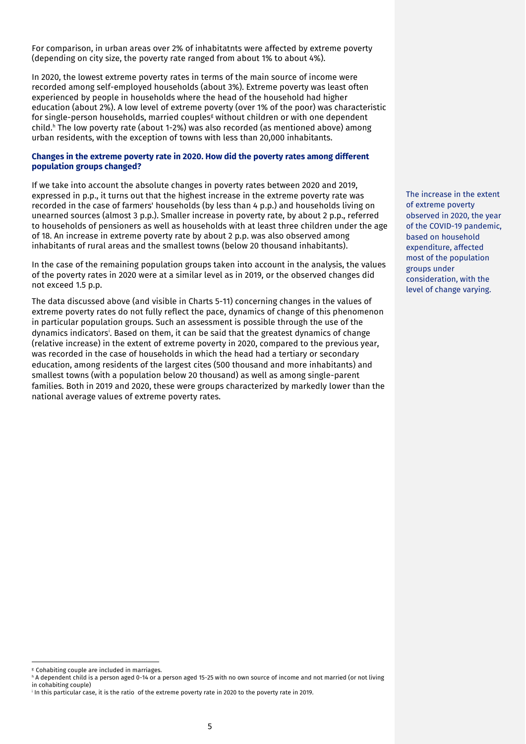For comparison, in urban areas over 2% of inhabitatnts were affected by extreme poverty (depending on city size, the poverty rate ranged from about 1% to about 4%).

In 2020, the lowest extreme poverty rates in terms of the main source of income were recorded among self-employed households (about 3%). Extreme poverty was least often experienced by people in households where the head of the household had higher education (about 2%). A low level of extreme poverty (over 1% of the poor) was characteristic for single-person households, married couples<sup>g</sup> without children or with one dependent child. <sup>h</sup> The low poverty rate (about 1-2%) was also recorded (as mentioned above) among urban residents, with the exception of towns with less than 20,000 inhabitants.

### **Changes in the extreme poverty rate in 2020. How did the poverty rates among different population groups changed?**

If we take into account the absolute changes in poverty rates between 2020 and 2019, expressed in p.p., it turns out that the highest increase in the extreme poverty rate was recorded in the case of farmers' households (by less than 4 p.p.) and households living on unearned sources (almost 3 p.p.). Smaller increase in poverty rate, by about 2 p.p., referred to households of pensioners as well as households with at least three children under the age of 18. An increase in extreme poverty rate by about 2 p.p. was also observed among inhabitants of rural areas and the smallest towns (below 20 thousand inhabitants).

In the case of the remaining population groups taken into account in the analysis, the values of the poverty rates in 2020 were at a similar level as in 2019, or the observed changes did not exceed 1.5 p.p.

The data discussed above (and visible in Charts 5-11) concerning changes in the values of extreme poverty rates do not fully reflect the pace, dynamics of change of this phenomenon in particular population groups. Such an assessment is possible through the use of the dynamics indicators<sup>i</sup>. Based on them, it can be said that the greatest dynamics of change (relative increase) in the extent of extreme poverty in 2020, compared to the previous year, was recorded in the case of households in which the head had a tertiary or secondary education, among residents of the largest cites (500 thousand and more inhabitants) and smallest towns (with a population below 20 thousand) as well as among single-parent families. Both in 2019 and 2020, these were groups characterized by markedly lower than the national average values of extreme poverty rates.

The increase in the extent of extreme poverty observed in 2020, the year of the COVID-19 pandemic, based on household expenditure, affected most of the population groups under consideration, with the level of change varying.

<sup>g</sup> Cohabiting couple are included in marriages.

h A dependent child is a person aged 0-14 or a person aged 15-25 with no own source of income and not married (or not living in cohabiting couple)

i In this particular case, it is the ratio of the extreme poverty rate in 2020 to the poverty rate in 2019.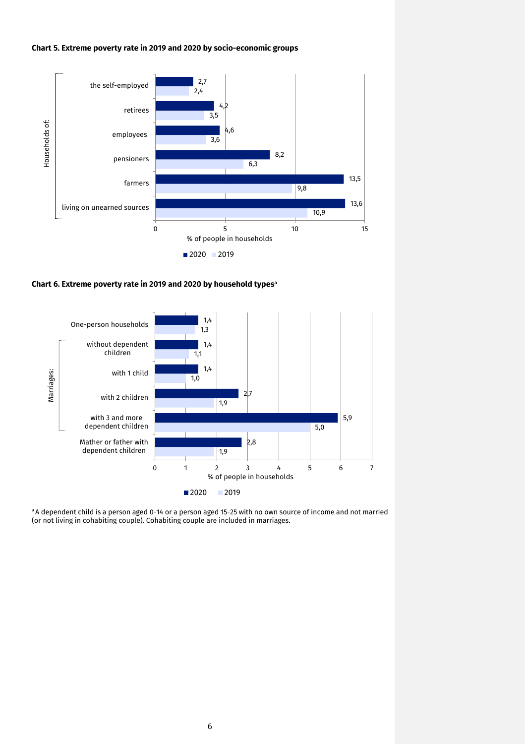#### **Chart 5. Extreme poverty rate in 2019 and 2020 by socio-economic groups**



**Chart 6. Extreme poverty rate in 2019 and 2020 by household types<sup>a</sup>**



aA dependent child is a person aged 0-14 or a person aged 15-25 with no own source of income and not married (or not living in cohabiting couple). Cohabiting couple are included in marriages.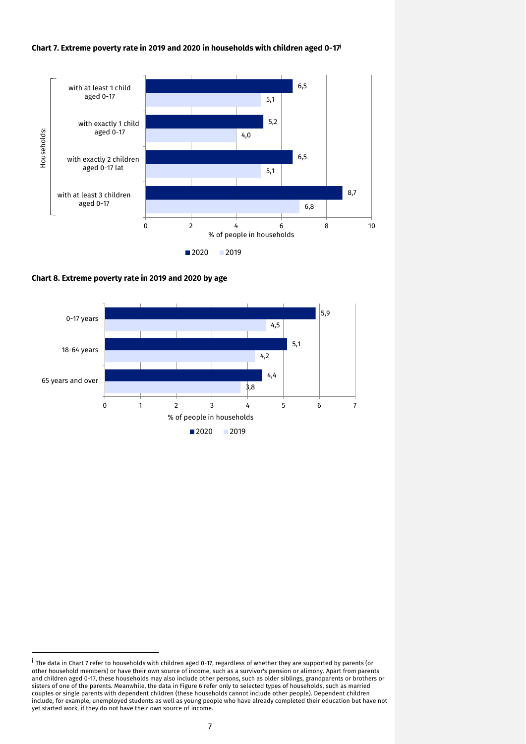#### **Chart 7. Extreme poverty rate in 2019 and 2020 in households with children aged 0-17<sup>j</sup>**



**Chart 8. Extreme poverty rate in 2019 and 2020 by age**

-



<sup>&</sup>lt;sup>j</sup> The data in Chart 7 refer to households with children aged 0-17, regardless of whether they are supported by parents (or other household members) or have their own source of income, such as a survivor's pension or alimony. Apart from parents and children aged 0-17, these households may also include other persons, such as older siblings, grandparents or brothers or sisters of one of the parents. Meanwhile, the data in Figure 6 refer only to selected types of households, such as married couples or single parents with dependent children (these households cannot include other people). Dependent children include, for example, unemployed students as well as young people who have already completed their education but have not yet started work, if they do not have their own source of income.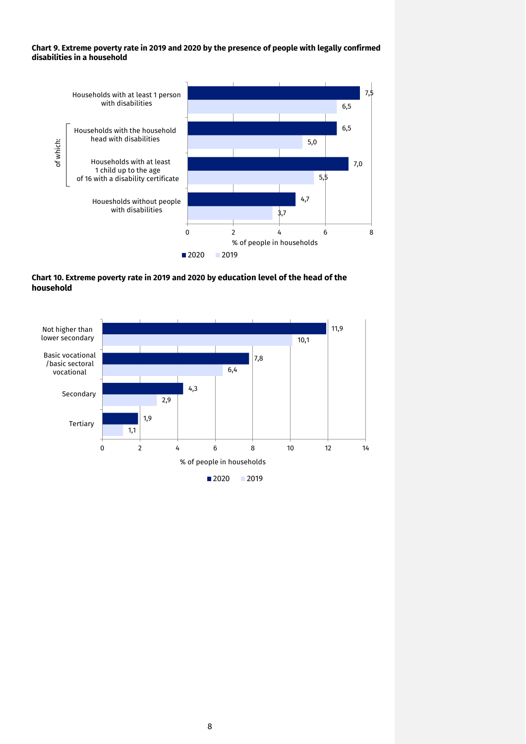**Chart 9. Extreme poverty rate in 2019 and 2020 by the presence of people with legally confirmed disabilities in a household** 



**Chart 10. Extreme poverty rate in 2019 and 2020 by education level of the head of the household** 

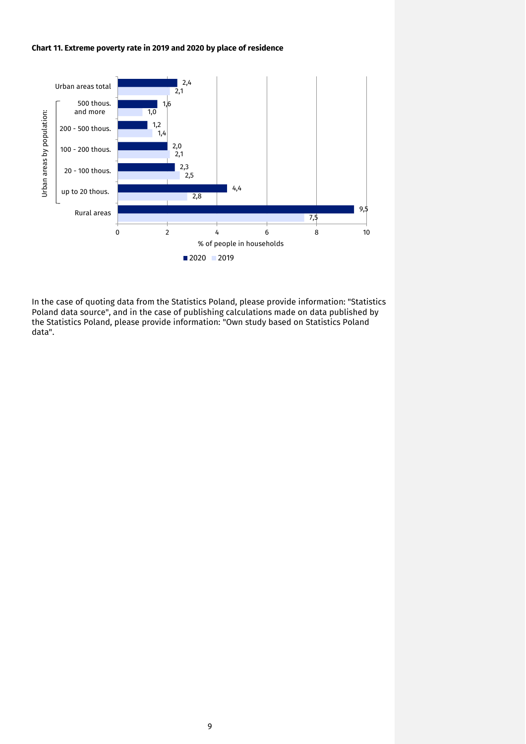#### **Chart 11. Extreme poverty rate in 2019 and 2020 by place of residence**



In the case of quoting data from the Statistics Poland, please provide information: "Statistics Poland data source", and in the case of publishing calculations made on data published by the Statistics Poland, please provide information: "Own study based on Statistics Poland data".